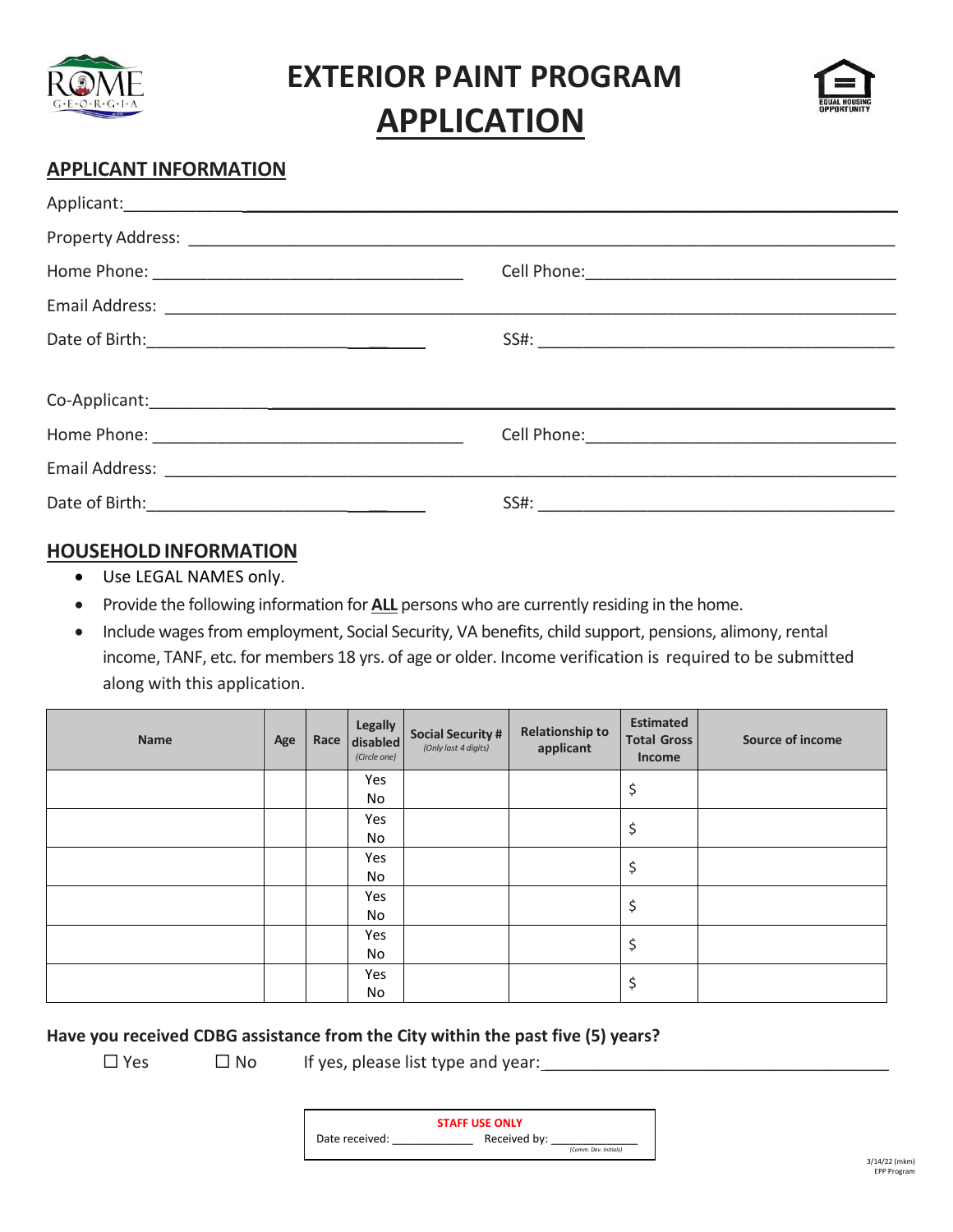

**EXTERIOR PAINT PROGRAM APPLICATION**



# **APPLICANT INFORMATION**

| SSE: |
|------|

# **HOUSEHOLDINFORMATION**

- Use LEGAL NAMES only.
- Provide the following information for **ALL** persons who are currently residing in the home.
- Include wages from employment, Social Security, VA benefits, child support, pensions, alimony, rental income, TANF, etc. for members 18 yrs. of age or older. Income verification is required to be submitted along with this application.

| Name | Age | Legally<br>Race disabled<br>(Circle one) | <b>Social Security #</b><br>(Only last 4 digits) | <b>Relationship to</b><br>applicant | <b>Estimated</b><br><b>Total Gross</b><br>Income | <b>Source of income</b> |
|------|-----|------------------------------------------|--------------------------------------------------|-------------------------------------|--------------------------------------------------|-------------------------|
|      |     | Yes                                      |                                                  |                                     | \$                                               |                         |
|      |     | No                                       |                                                  |                                     |                                                  |                         |
|      |     | Yes                                      |                                                  |                                     | \$                                               |                         |
|      |     | No                                       |                                                  |                                     |                                                  |                         |
|      |     | Yes                                      |                                                  |                                     |                                                  |                         |
|      |     | No                                       |                                                  |                                     | \$                                               |                         |
|      |     | Yes                                      |                                                  |                                     | \$                                               |                         |
|      |     | No                                       |                                                  |                                     |                                                  |                         |
|      |     | Yes                                      |                                                  |                                     | \$                                               |                         |
|      |     | No                                       |                                                  |                                     |                                                  |                         |
|      |     | Yes                                      |                                                  |                                     |                                                  |                         |
|      |     | No                                       |                                                  |                                     | \$                                               |                         |

#### **Have you received CDBG assistance from the City within the past five (5) years?**

 $\Box$  Yes  $\Box$  No If yes, please list type and year:

|                | <b>STAFF USE ONLY</b> |
|----------------|-----------------------|
| Date received: | Received by:          |
|                | (Comm. Dev. Initials) |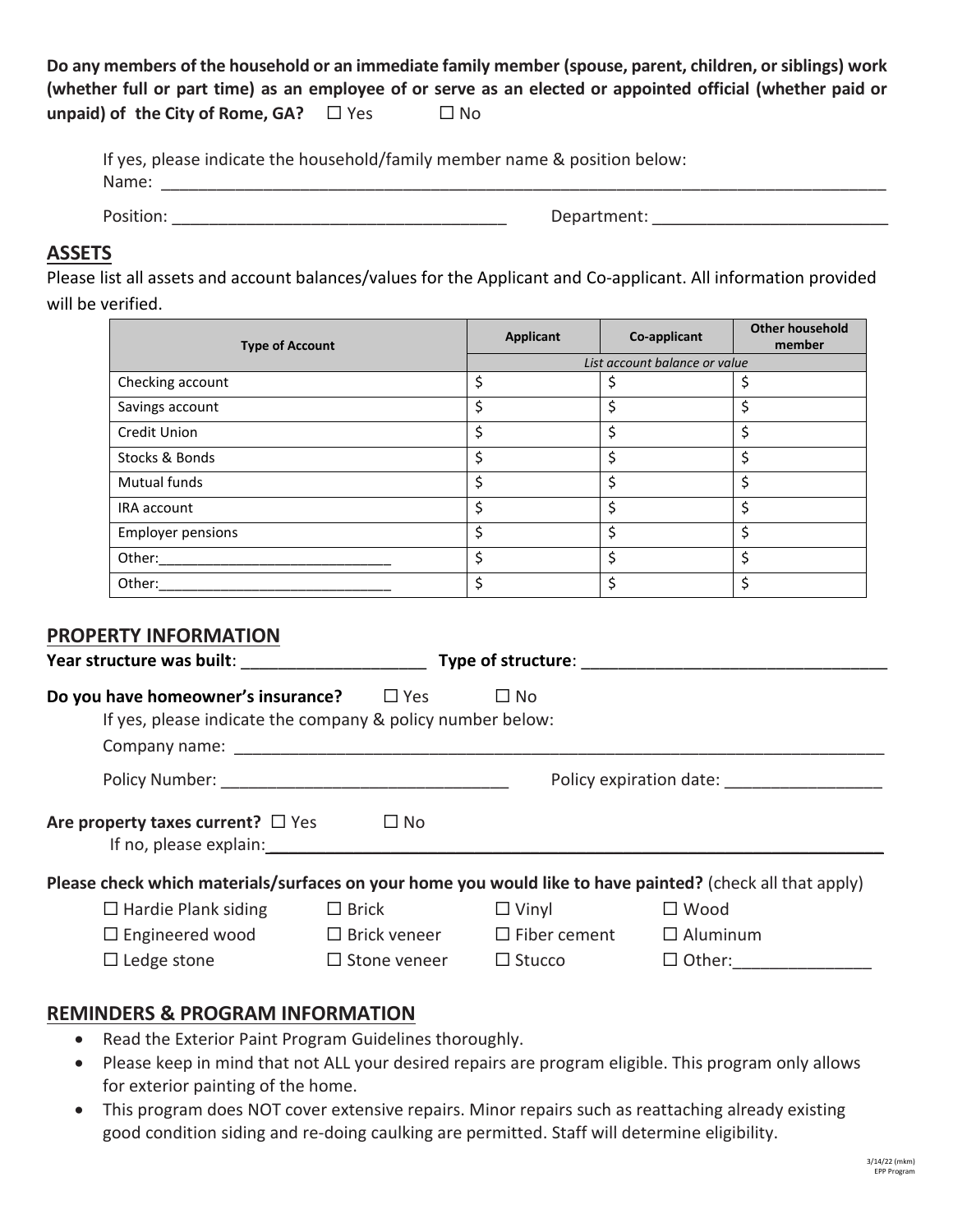**Do any members of the household or an immediate family member (spouse, parent, children, orsiblings) work** (whether full or part time) as an employee of or serve as an elected or appointed official (whether paid or **unpaid)** of the City of Rome, GA? □ Yes □ No

|           | If yes, please indicate the household/family member name & position below: |
|-----------|----------------------------------------------------------------------------|
| Name:     |                                                                            |
|           |                                                                            |
| Position: | Department:                                                                |

## **ASSETS**

Please list all assets and account balances/values for the Applicant and Co-applicant. All information provided will be verified.

| <b>Type of Account</b>   | Applicant | Co-applicant                  | <b>Other household</b><br>member |
|--------------------------|-----------|-------------------------------|----------------------------------|
|                          |           | List account balance or value |                                  |
| Checking account         | \$        |                               |                                  |
| Savings account          | \$        | Ś                             | \$                               |
| Credit Union             | \$        | ς                             | \$                               |
| Stocks & Bonds           | \$        | \$                            | \$                               |
| <b>Mutual funds</b>      | \$        | ς                             | \$                               |
| IRA account              | \$        | \$                            | \$                               |
| <b>Employer pensions</b> | \$        | ς                             | \$                               |
| Other:                   | \$        | Ś                             | \$                               |
| Other:                   | \$        |                               |                                  |

## **PROPERTY INFORMATION**

|                                                                                                                                                                                                                                                                          |                        |                     | Type of structure: Type of structure: |
|--------------------------------------------------------------------------------------------------------------------------------------------------------------------------------------------------------------------------------------------------------------------------|------------------------|---------------------|---------------------------------------|
| Do you have homeowner's insurance?<br>If yes, please indicate the company & policy number below:                                                                                                                                                                         | $\square$ Yes          | $\Box$ No           |                                       |
|                                                                                                                                                                                                                                                                          |                        |                     |                                       |
| Are property taxes current? $\Box$ Yes<br>If no, please explain: The same state of the state of the state of the state of the state of the state of the state of the state of the state of the state of the state of the state of the state of the state of the state of | $\square$ No           |                     |                                       |
| Please check which materials/surfaces on your home you would like to have painted? (check all that apply)                                                                                                                                                                |                        |                     |                                       |
| $\Box$ Hardie Plank siding                                                                                                                                                                                                                                               | $\Box$ Brick           | $\Box$ Vinyl        | $\Box$ Wood                           |
| $\Box$ Engineered wood $\Box$ Brick veneer                                                                                                                                                                                                                               |                        | $\Box$ Fiber cement | $\Box$ Aluminum                       |
| $\Box$ Ledge stone                                                                                                                                                                                                                                                       | $\square$ Stone veneer | $\square$ Stucco    | $\Box$ Other:                         |

#### **REMINDERS & PROGRAM INFORMATION**

- Read the Exterior Paint Program Guidelines thoroughly.
- Please keep in mind that not ALL your desired repairs are program eligible. This program only allows for exterior painting of the home.
- This program does NOT cover extensive repairs. Minor repairs such as reattaching already existing good condition siding and re-doing caulking are permitted. Staff will determine eligibility.